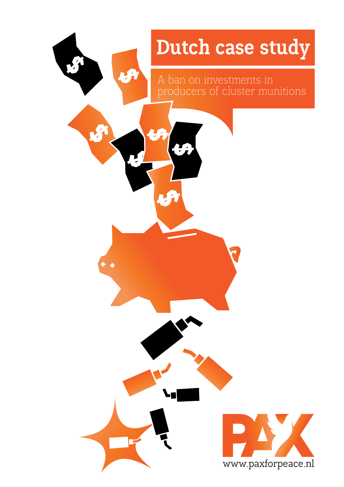### **Dutch case study**

A ban on investments in producers of cluster munitions

8

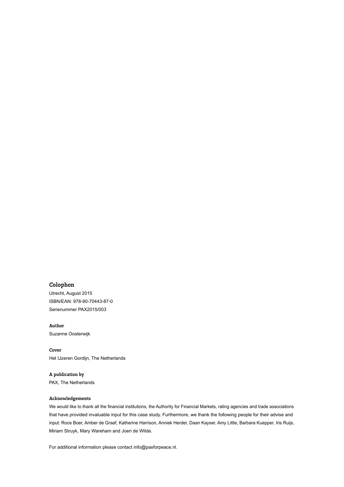#### **Colophon**

Utrecht, August 2015 ISBN/EAN: 978-90-70443-87-0 Serienummer PAX2015/003

**Author** Suzanne Oosterwijk

**Cover**  Het IJzeren Gordijn, The Netherlands

**A publication by**

PAX, The Netherlands

#### **Acknowledgements**

We would like to thank all the financial institutions, the Authority for Financial Markets, rating agencies and trade associations that have provided invaluable input for this case study. Furthermore, we thank the following people for their advise and input: Roos Boer, Amber de Graaf, Katherine Harrison, Anniek Herder, Daan Kayser, Amy Little, Barbara Kuepper, Iris Ruijs, Miriam Struyk, Mary Wareham and Joeri de Wilde.

For additional information please contact info@paxforpeace.nl.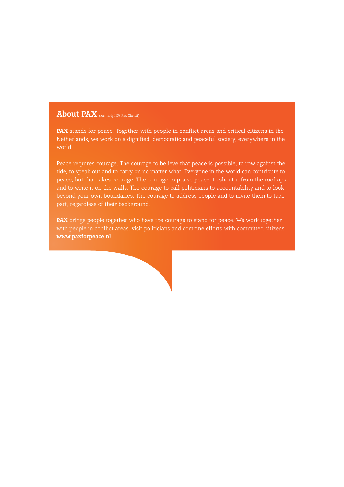#### **About PAX** (formerly IKV Pax Christi)

**PAX** stands for peace. Together with people in conflict areas and critical citizens in the Netherlands, we work on a dignified, democratic and peaceful society, everywhere in the world.

Peace requires courage. The courage to believe that peace is possible, to row against the tide, to speak out and to carry on no matter what. Everyone in the world can contribute to peace, but that takes courage. The courage to praise peace, to shout it from the rooftops and to write it on the walls. The courage to call politicians to accountability and to look beyond your own boundaries. The courage to address people and to invite them to take part, regardless of their background.

**PAX** brings people together who have the courage to stand for peace. We work together with people in conflict areas, visit politicians and combine efforts with committed citizens. **www.paxforpeace.nl**.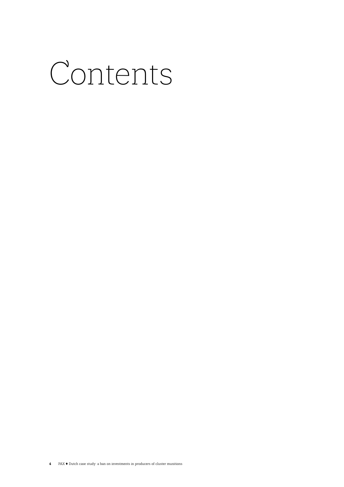### Contents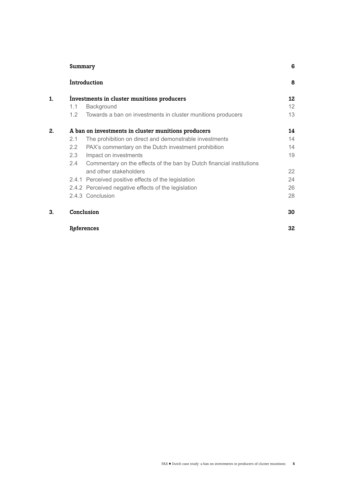|    | Summary                                                                               | 6  |
|----|---------------------------------------------------------------------------------------|----|
|    | <i>introduction</i>                                                                   | 8  |
| 1. | Investments in cluster munitions producers                                            | 12 |
|    | Background<br>1.1                                                                     | 12 |
|    | 1.2 <sub>1</sub><br>Towards a ban on investments in cluster munitions producers       | 13 |
| 2. | A ban on investments in cluster munitions producers                                   | 14 |
|    | The prohibition on direct and demonstrable investments<br>2.1                         | 14 |
|    | 2.2<br>PAX's commentary on the Dutch investment prohibition                           | 14 |
|    | Impact on investments<br>2.3                                                          | 19 |
|    | $2.4^{\circ}$<br>Commentary on the effects of the ban by Dutch financial institutions |    |
|    | and other stakeholders                                                                | 22 |
|    | 2.4.1 Perceived positive effects of the legislation                                   | 24 |
|    | 2.4.2 Perceived negative effects of the legislation                                   | 26 |
|    | 2.4.3 Conclusion                                                                      | 28 |
| 3. | Conclusion                                                                            | 30 |
|    | References                                                                            | 32 |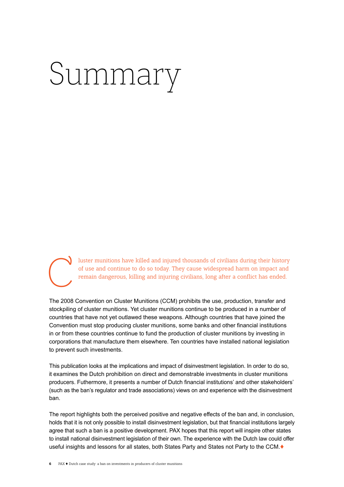## Summary



luster munitions have killed and injured thousands of civilians during their history of use and continue to do so today. They cause widespread harm on impact and remain dangerous, killing and injuring civilians, long after a conflict has ended.

The 2008 Convention on Cluster Munitions (CCM) prohibits the use, production, transfer and stockpiling of cluster munitions. Yet cluster munitions continue to be produced in a number of countries that have not yet outlawed these weapons. Although countries that have joined the Convention must stop producing cluster munitions, some banks and other financial institutions in or from these countries continue to fund the production of cluster munitions by investing in corporations that manufacture them elsewhere. Ten countries have installed national legislation to prevent such investments.

This publication looks at the implications and impact of disinvestment legislation. In order to do so, it examines the Dutch prohibition on direct and demonstrable investments in cluster munitions producers. Futhermore, it presents a number of Dutch financial institutions' and other stakeholders' (such as the ban's regulator and trade associations) views on and experience with the disinvestment ban.

The report highlights both the perceived positive and negative effects of the ban and, in conclusion, holds that it is not only possible to install disinvestment legislation, but that financial institutions largely agree that such a ban is a positive development. PAX hopes that this report will inspire other states to install national disinvestment legislation of their own. The experience with the Dutch law could offer useful insights and lessons for all states, both States Party and States not Party to the CCM.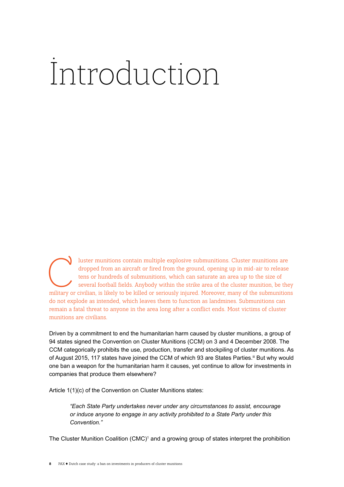## Introduction

I luster munitions contain multiple explosive submunitions. Cluster munitions are dropped from an aircraft or fired from the ground, opening up in mid-air to release tens or hundreds of submunitions, which can saturate an dropped from an aircraft or fired from the ground, opening up in mid-air to release tens or hundreds of submunitions, which can saturate an area up to the size of several football fields. Anybody within the strike area of the cluster munition, be they military or civilian, is likely to be killed or seriously injured. Moreover, many of the submunitions do not explode as intended, which leaves them to function as landmines. Submunitions can remain a fatal threat to anyone in the area long after a conflict ends. Most victims of cluster munitions are civilians.

Driven by a commitment to end the humanitarian harm caused by cluster munitions, a group of 94 states signed the Convention on Cluster Munitions (CCM) on 3 and 4 December 2008. The CCM categorically prohibits the use, production, transfer and stockpiling of cluster munitions. As of August 2015, 117 states have joined the CCM of which 93 are States Parties. III But why would one ban a weapon for the humanitarian harm it causes, yet continue to allow for investments in companies that produce them elsewhere?

Article 1(1)(c) of the Convention on Cluster Munitions states:

*"Each State Party undertakes never under any circumstances to assist, encourage or induce anyone to engage in any activity prohibited to a State Party under this Convention."* 

The Cluster Munition Coalition (CMC)<sup>1</sup> and a growing group of states interpret the prohibition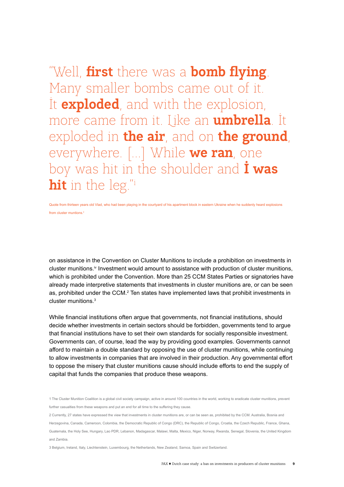"Well, **first** there was a **bomb flying**. Many smaller bombs came out of it. It **exploded**, and with the explosion, more came from it. Like an **umbrella**. It exploded in **the air**, and on **the ground**, everywhere. [...] While **we ran**, one boy was hit in the shoulder and **I was hit** in the leg."i

Quote from thirteen years old Vlad, who had been playing in the courtyard of his apartment block in eastern Ukraine when he suddenly heard explosions from cluster muntions.<sup>ii</sup>

on assistance in the Convention on Cluster Munitions to include a prohibition on investments in cluster munitions.<sup>iv</sup> Investment would amount to assistance with production of cluster munitions, which is prohibited under the Convention. More than 25 CCM States Parties or signatories have already made interpretive statements that investments in cluster munitions are, or can be seen as, prohibited under the CCM.<sup>2</sup> Ten states have implemented laws that prohibit investments in cluster munitions.<sup>3</sup>

While financial institutions often argue that governments, not financial institutions, should decide whether investments in certain sectors should be forbidden, governments tend to argue that financial institutions have to set their own standards for socially responsible investment. Governments can, of course, lead the way by providing good examples. Governments cannot afford to maintain a double standard by opposing the use of cluster munitions, while continuing to allow investments in companies that are involved in their production. Any governmental effort to oppose the misery that cluster munitions cause should include efforts to end the supply of capital that funds the companies that produce these weapons.

1 The Cluster Munition Coalition is a global civil society campaign, active in around 100 countries in the world, working to eradicate cluster munitions, prevent further casualties from these weapons and put an end for all time to the suffering they cause.

2 Currently, 27 states have expressed the view that investments in cluster munitions are, or can be seen as, prohibited by the CCM. Australia, Bosnia and Herzegovina, Canada, Cameroon, Colombia, the Democratic Republic of Congo (DRC), the Republic of Congo, Croatia, the Czech Republic, France, Ghana, Guatemala, the Holy See, Hungary, Lao PDR, Lebanon, Madagascar, Malawi, Malta, Mexico, Niger, Norway, Rwanda, Senegal, Slovenia, the United Kingdom and Zambia.

3 Belgium, Ireland, Italy, Liechtenstein, Luxembourg, the Netherlands, New Zealand, Samoa, Spain and Switzerland.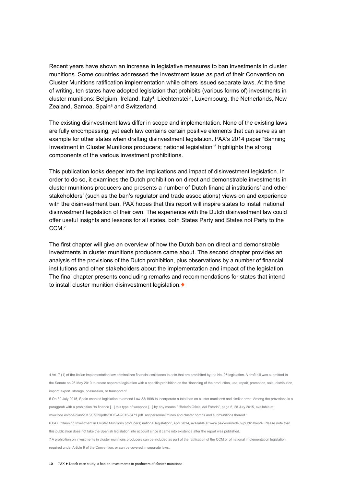Recent years have shown an increase in legislative measures to ban investments in cluster munitions. Some countries addressed the investment issue as part of their Convention on Cluster Munitions ratification implementation while others issued separate laws. At the time of writing, ten states have adopted legislation that prohibits (various forms of) investments in cluster munitions: Belgium, Ireland, Italy<sup>4</sup>, Liechtenstein, Luxembourg, the Netherlands, New Zealand, Samoa, Spain<sup>5</sup> and Switzerland.

The existing disinvestment laws differ in scope and implementation. None of the existing laws are fully encompassing, yet each law contains certain positive elements that can serve as an example for other states when drafting disinvestment legislation. PAX's 2014 paper "Banning Investment in Cluster Munitions producers; national legislation"6 highlights the strong components of the various investment prohibitions.

This publication looks deeper into the implications and impact of disinvestment legislation. In order to do so, it examines the Dutch prohibition on direct and demonstrable investments in cluster munitions producers and presents a number of Dutch financial institutions' and other stakeholders' (such as the ban's regulator and trade associations) views on and experience with the disinvestment ban. PAX hopes that this report will inspire states to install national disinvestment legislation of their own. The experience with the Dutch disinvestment law could offer useful insights and lessons for all states, both States Party and States not Party to the CCM.<sup>7</sup>

The first chapter will give an overview of how the Dutch ban on direct and demonstrable investments in cluster munitions producers came about. The second chapter provides an analysis of the provisions of the Dutch prohibition, plus observations by a number of financial institutions and other stakeholders about the implementation and impact of the legislation. The final chapter presents concluding remarks and recommendations for states that intend to install cluster munition disinvestment legislation.  $\blacklozenge$ 

4 Art. 7 (1) of the Italian implementation law criminalizes financial assistance to acts that are prohibited by the No. 95 legislation. A draft bill was submitted to the Senate on 26 May 2010 to create separate legislation with a specific prohibition on the "financing of the production, use, repair, promotion, sale, distribution, import, export, storage, possession, or transport of

5 On 30 July 2015, Spain enacted legislation to amend Law 33/1998 to incorporate a total ban on cluster munitions and similar arms. Among the provisions is a paragprah with a prohibition "to finance [...] this type of weapons [...] by any means." "Boletín Oficial del Estado", page 5, 28 July 2015, available at:

www.boe.es/boe/dias/2015/07/29/pdfs/BOE-A-2015-8471.pdf. antipersonnel mines and cluster bombs and submunitions thereof."

6 PAX, "Banning Investment in Cluster Munitions producers; national legislation", April 2014, available at www.paxvoorvrede.nl/publicaties/4. Please note that this publication does not take the Spanish legislation into account since it came into existence after the report was published.

7 A prohibition on investments in cluster munitions producers can be included as part of the ratification of the CCM or of national implementation legislation required under Article 9 of the Convention, or can be covered in separate laws.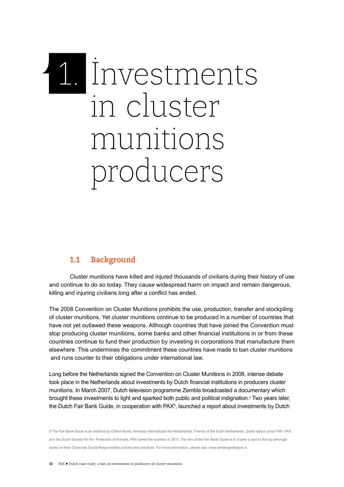# 1. Investments in cluster munitions producers

#### **1.1 Background**

Cluster munitions have killed and injured thousands of civilians during their history of use and continue to do so today. They cause widespread harm on impact and remain dangerous, killing and injuring civilians long after a conflict has ended.

The 2008 Convention on Cluster Munitions prohibits the use, production, transfer and stockpiling of cluster munitions. Yet cluster munitions continue to be produced in a number of countries that have not yet outlawed these weapons. Although countries that have joined the Convention must stop producing cluster munitions, some banks and other financial institutions in or from these countries continue to fund their production by investing in corporations that manufacture them elsewhere. This undermines the commitment these countries have made to ban cluster munitions and runs counter to their obligations under international law.

Long before the Netherlands signed the Convention on Cluster Munitions in 2008, intense debate took place in the Netherlands about investments by Dutch financial institutions in producers cluster munitions. In March 2007, Dutch television programme Zembla broadcasted a documentary which brought these investments to light and sparked both public and political indignation.<sup>v</sup> Two years later, the Dutch Fair Bank Guide, in cooperation with PAX<sup>8</sup>, launched a report about investments by Dutch

8 The Fair Bank Guide is an initiative by Oxfam Novib, Amnesty International the Netherlands, Friends of the Earth Netherlands, Dutch labour union FNV, PAX and the Dutch Society for the Protection of Animals. PAX joined the coalition in 2011. The aim of the Fair Bank Guide is to create a race to the top amongst banks on their Corporate Social Responsibility policies and practices. For more information, please see: www.eerlijkegeldwijzer.nl.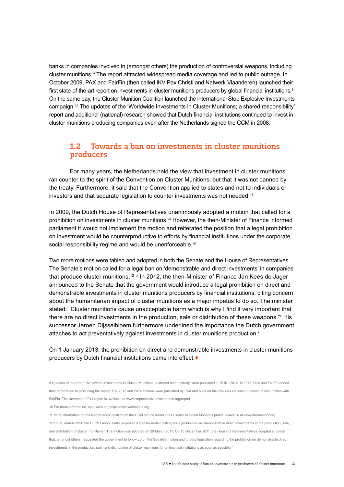banks in companies involved in (amongst others) the production of controversial weapons, including cluster munitions.<sup>vi</sup> The report attracted widespread media coverage and led to public outrage. In October 2009, PAX and FairFin (then called IKV Pax Christi and Netwerk Vlaanderen) launched their first state-of-the-art report on investments in cluster munitions producers by global financial institutions.<sup>9</sup> On the same day, the Cluster Munition Coalition launched the international Stop Explosive Investments campaign.<sup>10</sup> The updates of the 'Worldwide Investments in Cluster Munitions; a shared responsibility' report and additional (national) research showed that Dutch financial institutions continued to invest in cluster munitions producing companies even after the Netherlands signed the CCM in 2008.

#### **1.2 Towards a ban on investments in cluster munitions producers**

For many years, the Netherlands held the view that investment in cluster munitions ran counter to the spirit of the Convention on Cluster Munitions, but that it was not banned by the treaty. Furthermore, it said that the Convention applied to states and not to individuals or investors and that separate legislation to counter investments was not needed.<sup>11</sup>

In 2009, the Dutch House of Representatives unanimously adopted a motion that called for a prohibition on investments in cluster munitions.<sup>vii</sup> However, the then-Minister of Finance informed parliament it would not implement the motion and reiterated the position that a legal prohibition on investment would be counterproductive to efforts by financial institutions under the corporate social responsibility regime and would be unenforceable.<sup>viii</sup>

Two more motions were tabled and adopted in both the Senate and the House of Representatives. The Senate's motion called for a legal ban on 'demonstrable and direct investments' in companies that produce cluster munitions.<sup>12 ix</sup> In 2012, the then-Minister of Finance Jan Kees de Jager announced to the Senate that the government would introduce a legal prohibition on direct and demonstrable investments in cluster munitions producers by financial institutions, citing concern about the humanitarian impact of cluster munitions as a major impetus to do so. The minister stated: "Cluster munitions cause unacceptable harm which is why I find it very important that there are no direct investments in the production, sale or distribution of these weapons." His successor Jeroen Dijsselbloem furthermore underlined the importance the Dutch government attaches to act preventatively against investments in cluster munitions production. $x^{i}$ 

On 1 January 2013, the prohibition on direct and demonstrable investments in cluster munitions producers by Dutch financial institutions came into effect.

10 For more information, see: www.stopexplosiveinvestments.org.

<sup>9</sup> Updates of the report 'Worldwide Investments in Cluster Munitions; a shared responsibility' were published in 2010 - 2014. In 2013, PAX and FairFin ended their corporation in producing the report. The 2013 and 2014 editions were published by PAX and build on the previous editions published in conjunction with FairFin. The November 2014 report is available at www.stopexplosiveinvestments.org/report.

<sup>11</sup> More information on the Netherlands' position on the CCM can be found in its Cluster Munition Monitor's profile, available at www.the/monitor.org.

<sup>12</sup> On 18 March 2011, the Dutch Labour Party proposed a Senate motion calling for a prohibition on "demonstrable direct investments in the production, sale, and distribution of cluster munitions." The motion was adopted on 29 March 2011. On 13 December 2011, the House of Representatives adopted a motion that, amongst others, requested the government to follow up on the Senate's motion and "create legislation regarding the prohibition on demonstrable direct

investments in the production, sale, and distribution of cluster munitions for all financial institutions as soon as possible."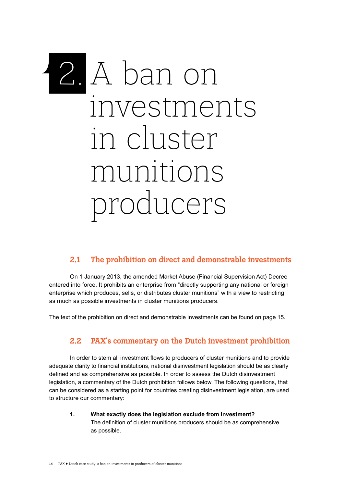## 2. A ban on investments in cluster munitions producers

#### **2.1 The prohibition on direct and demonstrable investments**

On 1 January 2013, the amended Market Abuse (Financial Supervision Act) Decree entered into force. It prohibits an enterprise from "directly supporting any national or foreign enterprise which produces, sells, or distributes cluster munitions" with a view to restricting as much as possible investments in cluster munitions producers.

The text of the prohibition on direct and demonstrable investments can be found on page 15.

#### **2.2 PAX's commentary on the Dutch investment prohibition**

In order to stem all investment flows to producers of cluster munitions and to provide adequate clarity to financial institutions, national disinvestment legislation should be as clearly defined and as comprehensive as possible. In order to assess the Dutch disinvestment legislation, a commentary of the Dutch prohibition follows below. The following questions, that can be considered as a starting point for countries creating disinvestment legislation, are used to structure our commentary:

**1. What exactly does the legislation exclude from investment?**  The definition of cluster munitions producers should be as comprehensive as possible.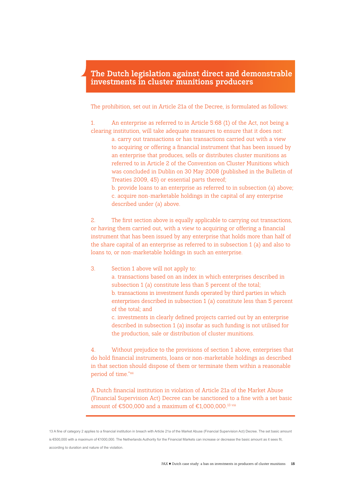#### **The Dutch legislation against direct and demonstrable investments in cluster munitions producers**

The prohibition, set out in Article 21a of the Decree, is formulated as follows:

1. An enterprise as referred to in Article 5:68 (1) of the Act, not being a clearing institution, will take adequate measures to ensure that it does not:

> a. carry out transactions or has transactions carried out with a view to acquiring or offering a financial instrument that has been issued by an enterprise that produces, sells or distributes cluster munitions as referred to in Article 2 of the Convention on Cluster Munitions which was concluded in Dublin on 30 May 2008 (published in the Bulletin of Treaties 2009, 45) or essential parts thereof;

> b. provide loans to an enterprise as referred to in subsection (a) above; c. acquire non-marketable holdings in the capital of any enterprise described under (a) above.

2. The first section above is equally applicable to carrying out transactions, or having them carried out, with a view to acquiring or offering a financial instrument that has been issued by any enterprise that holds more than half of the share capital of an enterprise as referred to in subsection 1 (a) and also to loans to, or non-marketable holdings in such an enterprise.

#### 3. Section 1 above will not apply to:

a. transactions based on an index in which enterprises described in subsection 1 (a) constitute less than 5 percent of the total; b. transactions in investment funds operated by third parties in which enterprises described in subsection 1 (a) constitute less than 5 percent of the total; and

c. investments in clearly defined projects carried out by an enterprise described in subsection 1 (a) insofar as such funding is not utilised for the production, sale or distribution of cluster munitions.

4. Without prejudice to the provisions of section 1 above, enterprises that do hold financial instruments, loans or non-marketable holdings as described in that section should dispose of them or terminate them within a reasonable period of time."xii

A Dutch financial institution in violation of Article 21a of the Market Abuse (Financial Supervision Act) Decree can be sanctioned to a fine with a set basic amount of €500,000 and a maximum of €1,000,000.<sup>13 viii</sup>

13 A fine of category 2 applies to a financial institution in breach with Article 21a of the Market Abuse (Financial Supervision Act) Decree. The set basic amount is €500,000 with a maximum of €1000,000. The Netherlands Authority for the Financial Markets can increase or decrease the basic amount as it sees fit, according to duration and nature of the violation.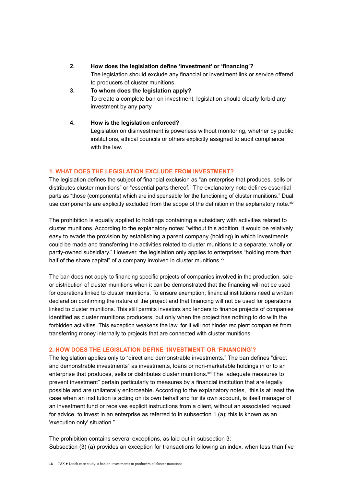#### **2. How does the legislation define 'investment' or 'financing'?**

The legislation should exclude any financial or investment link or service offered to producers of cluster munitions.

#### **3. To whom does the legislation apply?** To create a complete ban on investment, legislation should clearly forbid any investment by any party.

#### **4. How is the legislation enforced?**

Legislation on disinvestment is powerless without monitoring, whether by public institutions, ethical councils or others explicitly assigned to audit compliance with the law.

#### **1. What does the legislation exclude from investment?**

The legislation defines the subject of financial exclusion as "an enterprise that produces, sells or distributes cluster munitions" or "essential parts thereof." The explanatory note defines essential parts as "those (components) which are indispensable for the functioning of cluster munitions." Dual use components are explicitly excluded from the scope of the definition in the explanatory note.<sup>xiv</sup>

The prohibition is equally applied to holdings containing a subsidiary with activities related to cluster munitions. According to the explanatory notes: "without this addition, it would be relatively easy to evade the provision by establishing a parent company (holding) in which investments could be made and transferring the activities related to cluster munitions to a separate, wholly or partly-owned subsidiary." However, the legislation only applies to enterprises "holding more than half of the share capital" of a company involved in cluster munitions.<sup>xv</sup>

The ban does not apply to financing specific projects of companies involved in the production, sale or distribution of cluster munitions when it can be demonstrated that the financing will not be used for operations linked to cluster munitions. To ensure exemption, financial institutions need a written declaration confirming the nature of the project and that financing will not be used for operations linked to cluster munitions. This still permits investors and lenders to finance projects of companies identified as cluster munitions producers, but only when the project has nothing to do with the forbidden activities. This exception weakens the law, for it will not hinder recipient companies from transferring money internally to projects that are connected with cluster munitions.

#### **2. How does the legislation define 'investment' or 'financing'?**

The legislation applies only to "direct and demonstrable investments." The ban defines "direct and demonstrable investments" as investments, loans or non-marketable holdings in or to an enterprise that produces, sells or distributes cluster munitions.<sup>xvi</sup> The "adequate measures to prevent investment" pertain particularly to measures by a financial institution that are legally possible and are unilaterally enforceable. According to the explanatory notes, "this is at least the case when an institution is acting on its own behalf and for its own account, is itself manager of an investment fund or receives explicit instructions from a client, without an associated request for advice, to invest in an enterprise as referred to in subsection 1 (a); this is known as an 'execution only' situation."

The prohibition contains several exceptions, as laid out in subsection 3: Subsection (3) (a) provides an exception for transactions following an index, when less than five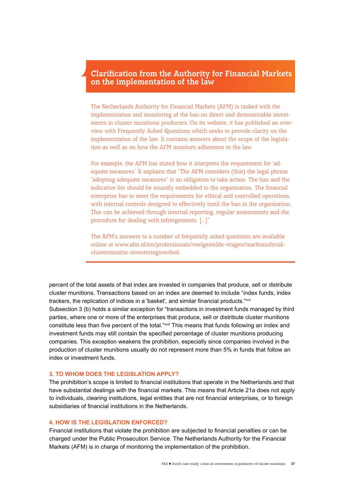#### **Clarification from the Authority for Financial Markets on the implementation of the law**

The Netherlands Authority for Financial Markets (AFM) is tasked with the implementation and monitoring of the ban on direct and demonstrable investments in cluster munitions producers. On its website, it has published an overview with Frequently Asked Questions which seeks to provide clarity on the implementation of the law. It contains answers about the scope of the legislation as well as on how the AFM monitors adherence to the law.

For example, the AFM has stated how it interprets the requirement for 'adequate measures.' It explains that "The AFM considers (that) the legal phrase "adopting adequate measures" is an obligation to take action. The ban and the indicative list should be soundly embedded in the organisation. The financial enterprise has to meet the requirements for ethical and controlled operations, with internal controls designed to effectively instil the ban in the organisation. This can be achieved through internal reporting, regular assessments and the procedure for dealing with infringements. […]"

The AFM's answers to a number of frequently asked questions are available online at www.afm.nl/en/professionals/veelgestelde-vragen/marktmisbruikclustermunitie-investeringsverbod.

percent of the total assets of that index are invested in companies that produce, sell or distribute cluster munitions. Transactions based on an index are deemed to include "index funds, index trackers, the replication of indices in a 'basket', and similar financial products."xvii

Subsection 3 (b) holds a similar exception for "transactions in investment funds managed by third parties, where one or more of the enterprises that produce, sell or distribute cluster munitions constitute less than five percent of the total."xviii This means that funds following an index and investment funds may still contain the specified percentage of cluster munitions producing companies. This exception weakens the prohibition, especially since companies involved in the production of cluster munitions usually do not represent more than 5% in funds that follow an index or investment funds.

#### **3. To whom does the legislation apply?**

The prohibition's scope is limited to financial institutions that operate in the Netherlands and that have substantial dealings with the financial markets. This means that Article 21a does not apply to individuals, clearing institutions, legal entities that are not financial enterprises, or to foreign subsidiaries of financial institutions in the Netherlands.

#### **4. How is the legislation enforced?**

Financial institutions that violate the prohibition are subjected to financial penalties or can be charged under the Public Prosecution Service. The Netherlands Authority for the Financial Markets (AFM) is in charge of monitoring the implementation of the prohibition.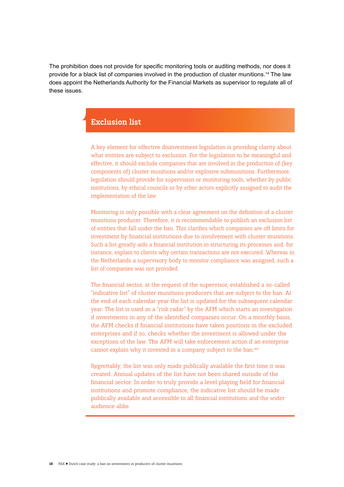The prohibition does not provide for specific monitoring tools or auditing methods, nor does it provide for a black list of companies involved in the production of cluster munitions.14 The law does appoint the Netherlands Authority for the Financial Markets as supervisor to regulate all of these issues.

#### **Exclusion list**

A key element for effective disinvestment legislation is providing clarity about what entities are subject to exclusion. For the legislation to be meaningful and effective, it should exclude companies that are involved in the production of (key components of) cluster munitions and/or explosive submunitions. Furthermore, legislation should provide for supervision or monitoring tools, whether by public institutions, by ethical councils or by other actors explicitly assigned to audit the implementation of the law.

Monitoring is only possible with a clear agreement on the definition of a cluster munitions producer. Therefore, it is recommendable to publish an exclusion list of entities that fall under the ban. This clarifies which companies are off limits for investment by financial institutions due to involvement with cluster munitions. Such a list greatly aids a financial institution in structuring its processes and, for instance, explain to clients why certain transactions are not executed. Whereas in the Netherlands a supervisory body to monitor compliance was assigned, such a list of companies was not provided.

The financial sector, at the request of the supervisor, established a so-called "indicative list" of cluster munitions producers that are subject to the ban. At the end of each calendar year the list is updated for the subsequent calendar year. The list is used as a "risk radar" by the AFM which starts an investigation if investments in any of the identified companies occur. On a monthly basis, the AFM checks if financial institutions have taken positions in the excluded enterprises and if so, checks whether the investment is allowed under the exceptions of the law. The AFM will take enforcement action if an enterprise cannot explain why it invested in a company subject to the ban.xix

Regrettably, the list was only made publically available the first time it was created. Annual updates of the list have not been shared outside of the financial sector. In order to truly provide a level playing field for financial institutions and promote compliance, the indicative list should be made publically available and accessible to all financial institutions and the wider audience alike.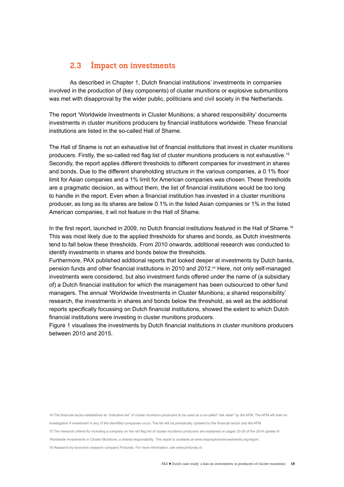#### **2.3 Impact on investments**

As described in Chapter 1, Dutch financial institutions' investments in companies involved in the production of (key components) of cluster munitions or explosive submunitions was met with disapproval by the wider public, politicians and civil society in the Netherlands.

The report 'Worldwide Investments in Cluster Munitions; a shared responsibility' documents investments in cluster munitions producers by financial institutions worldwide. These financial institutions are listed in the so-called Hall of Shame.

The Hall of Shame is not an exhaustive list of financial institutions that invest in cluster munitions producers. Firstly, the so-called red flag list of cluster munitions producers is not exhaustive.<sup>15</sup> Secondly, the report applies different thresholds to different companies for investment in shares and bonds. Due to the different shareholding structure in the various companies, a 0.1% floor limit for Asian companies and a 1% limit for American companies was chosen. These thresholds are a pragmatic decision, as without them, the list of financial institutions would be too long to handle in the report. Even when a financial institution has invested in a cluster munitions producer, as long as its shares are below 0.1% in the listed Asian companies or 1% in the listed American companies, it wil not feature in the Hall of Shame.

In the first report, launched in 2009, no Dutch financial institutions featured in the Hall of Shame.<sup>16</sup> This was most likely due to the applied thresholds for shares and bonds, as Dutch investments tend to fall below these thresholds. From 2010 onwards, additional research was conducted to identify investments in shares and bonds below the thresholds.

Furthermore, PAX published additional reports that looked deeper at investments by Dutch banks, pension funds and other financial institutions in 2010 and 2012.<sup>xx</sup> Here, not only self-managed investments were considered, but also investment funds offered under the name of (a subsidiary of) a Dutch financial institution for which the management has been outsourced to other fund managers. The annual 'Worldwide Investments in Cluster Munitions; a shared responsibility' research, the investments in shares and bonds below the threshold, as well as the additional reports specifically focussing on Dutch financial institutions, showed the extent to which Dutch financial institutions were investing in cluster munitions producers.

Figure 1 visualises the investments by Dutch financial institutions in cluster munitions producers between 2010 and 2015.

14 The financial sector established an "indicative list" of cluster munitions producers to be used as a so-called "risk radar" by the AFM. The AFM will start an investigation if investment in any of the identified companies occur. The list will be periodically updated by the financial sector and the AFM. 15 The research criteria for including a company on the red flag list of cluster munitions producers are explained on pages 33-35 of the 2014 update of 'Worldwide Investments in Cluster Munitions; a shared responsibility.' The report is available at www.stopexplosiveinvestments.org/report.

16 Research by economic research company Profundo. For more information, see www.profundo.nl.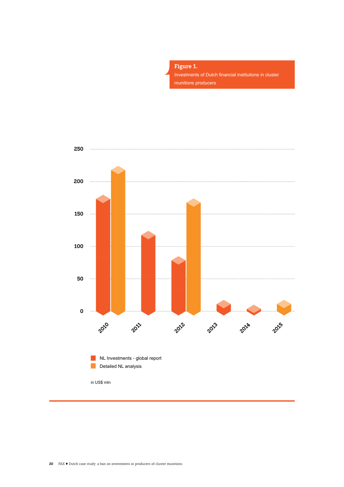

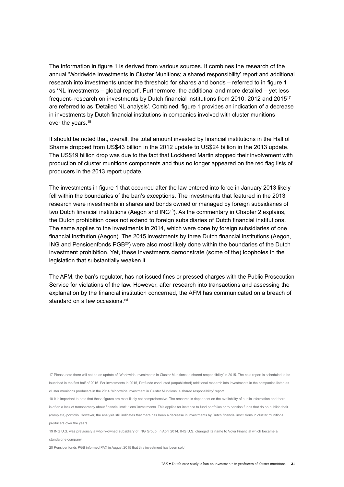The information in figure 1 is derived from various sources. It combines the research of the annual 'Worldwide Investments in Cluster Munitions; a shared responsibility' report and additional research into investments under the threshold for shares and bonds – referred to in figure 1 as 'NL Investments – global report'. Furthermore, the additional and more detailed – yet less frequent- research on investments by Dutch financial institutions from 2010, 2012 and 2015<sup>17</sup> are referred to as 'Detailed NL analysis'. Combined, figure 1 provides an indication of a decrease in investments by Dutch financial institutions in companies involved with cluster munitions over the years.<sup>18</sup>

It should be noted that, overall, the total amount invested by financial institutions in the Hall of Shame dropped from US\$43 billion in the 2012 update to US\$24 billion in the 2013 update. The US\$19 billion drop was due to the fact that Lockheed Martin stopped their involvement with production of cluster munitions components and thus no longer appeared on the red flag lists of producers in the 2013 report update.

The investments in figure 1 that occurred after the law entered into force in January 2013 likely fell within the boundaries of the ban's exceptions. The investments that featured in the 2013 research were investments in shares and bonds owned or managed by foreign subsidiaries of two Dutch financial institutions (Aegon and ING<sup>19</sup>). As the commentary in Chapter 2 explains, the Dutch prohibition does not extend to foreign subsidiaries of Dutch financial institutions. The same applies to the investments in 2014, which were done by foreign subsidiaries of one financial institution (Aegon). The 2015 investments by three Dutch financial institutions (Aegon, ING and Pensioenfonds PGB<sup>20</sup>) were also most likely done within the boundaries of the Dutch investment prohibition. Yet, these investments demonstrate (some of the) loopholes in the legislation that substantially weaken it.

The AFM, the ban's regulator, has not issued fines or pressed charges with the Public Prosecution Service for violations of the law. However, after research into transactions and assessing the explanation by the financial institution concerned, the AFM has communicated on a breach of standard on a few occasions.<sup>xxi</sup>

17 Please note there will not be an update of 'Worldwide Investments in Cluster Munitions; a shared responsibility' in 2015. The next report is scheduled to be launched in the first half of 2016. For investments in 2015, Profundo conducted (unpublished) additional research into investments in the companies listed as cluster munitions producers in the 2014 'Worldwide Investment in Cluster Munitions; a shared responsibility' report.

18 It is important to note that these figures are most likely not comprehensive. The research is dependent on the availability of public information and there is often a lack of transparancy about financial institutions' investments. This applies for instance to fund portfolios or to pension funds that do no publish their (complete) portfolio. However, the analysis still indicates that there has been a decrease in investments by Dutch financial institutions in cluster munitions producers over the years.

19 ING U.S. was previously a wholly-owned subsidiary of ING Group. In April 2014, ING U.S. changed its name to Voya Financial which became a standalone company.

20 Pensioenfonds PGB informed PAX in August 2015 that this investment has been sold.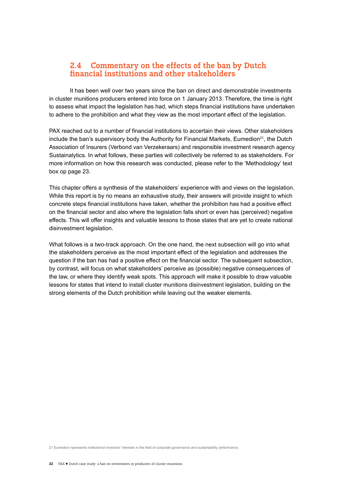#### **2.4 Commentary on the effects of the ban by Dutch financial institutions and other stakeholders**

It has been well over two years since the ban on direct and demonstrable investments in cluster munitions producers entered into force on 1 January 2013. Therefore, the time is right to assess what impact the legislation has had, which steps financial institutions have undertaken to adhere to the prohibition and what they view as the most important effect of the legislation.

PAX reached out to a number of financial institutions to accertain their views. Other stakeholders include the ban's supervisory body the Authority for Financial Markets, Eumedion<sup>21</sup>, the Dutch Association of Insurers (Verbond van Verzekeraars) and responsible investment research agency Sustainalytics. In what follows, these parties will collectively be referred to as stakeholders. For more information on how this research was conducted, please refer to the 'Methodology' text box op page 23.

This chapter offers a synthesis of the stakeholders' experience with and views on the legislation. While this report is by no means an exhaustive study, their answers will provide insight to which concrete steps financial institutions have taken, whether the prohibition has had a positive effect on the financial sector and also where the legislation falls short or even has (perceived) negative effects. This will offer insights and valuable lessons to those states that are yet to create national disinvestment legislation.

What follows is a two-track approach. On the one hand, the next subsection will go into what the stakeholders perceive as the most important effect of the legislation and addresses the question if the ban has had a positive effect on the financial sector. The subsequent subsection, by contrast, will focus on what stakeholders' perceive as (possible) negative consequences of the law, or where they identify weak spots. This approach will make it possible to draw valuable lessons for states that intend to install cluster munitions disinvestment legislation, building on the strong elements of the Dutch prohibition while leaving out the weaker elements.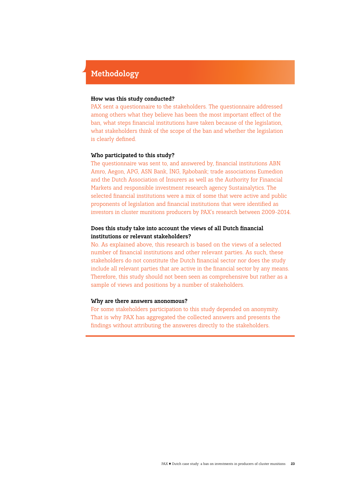#### **Methodology**

#### **How was this study conducted?**

PAX sent a questionnaire to the stakeholders. The questionnaire addressed among others what they believe has been the most important effect of the ban, what steps financial institutions have taken because of the legislation, what stakeholders think of the scope of the ban and whether the legislation is clearly defined.

#### **Who participated to this study?**

The questionnaire was sent to, and answered by, financial institutions ABN Amro, Aegon, APG, ASN Bank, ING, Rabobank; trade associations Eumedion and the Dutch Association of Insurers as well as the Authority for Financial Markets and responsible investment research agency Sustainalytics. The selected financial institutions were a mix of some that were active and public proponents of legislation and financial institutions that were identified as investors in cluster munitions producers by PAX's research between 2009-2014.

#### **Does this study take into account the views of all Dutch financial institutions or relevant stakeholders?**

No. As explained above, this research is based on the views of a selected number of financial institutions and other relevant parties. As such, these stakeholders do not constitute the Dutch financial sector nor does the study include all relevant parties that are active in the financial sector by any means. Therefore, this study should not been seen as comprehensive but rather as a sample of views and positions by a number of stakeholders.

#### **Why are there answers anonomous?**

For some stakeholders participation to this study depended on anonymity. That is why PAX has aggregated the collected answers and presents the findings without attributing the answeres directly to the stakeholders.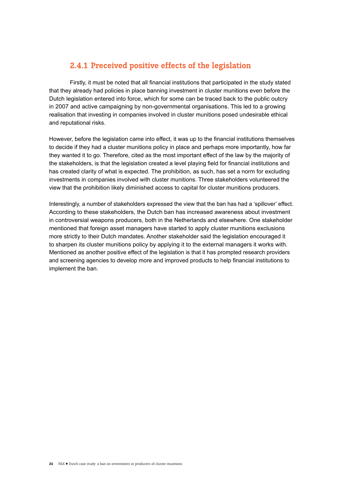#### **2.4.1 Preceived positive effects of the legislation**

Firstly, it must be noted that all financial institutions that participated in the study stated that they already had policies in place banning investment in cluster munitions even before the Dutch legislation entered into force, which for some can be traced back to the public outcry in 2007 and active campaigning by non-governmental organisations. This led to a growing realisation that investing in companies involved in cluster munitions posed undesirable ethical and reputational risks.

However, before the legislation came into effect, it was up to the financial institutions themselves to decide if they had a cluster munitions policy in place and perhaps more importantly, how far they wanted it to go. Therefore, cited as the most important effect of the law by the majority of the stakeholders, is that the legislation created a level playing field for financial institutions and has created clarity of what is expected. The prohibition, as such, has set a norm for excluding investments in companies involved with cluster munitions. Three stakeholders volunteered the view that the prohibition likely diminished access to capital for cluster munitions producers.

Interestingly, a number of stakeholders expressed the view that the ban has had a 'spillover' effect. According to these stakeholders, the Dutch ban has increased awareness about investment in controversial weapons producers, both in the Netherlands and elsewhere. One stakeholder mentioned that foreign asset managers have started to apply cluster munitions exclusions more strictly to their Dutch mandates. Another stakeholder said the legislation encouraged it to sharpen its cluster munitions policy by applying it to the external managers it works with. Mentioned as another positive effect of the legislation is that it has prompted research providers and screening agencies to develop more and improved products to help financial institutions to implement the ban.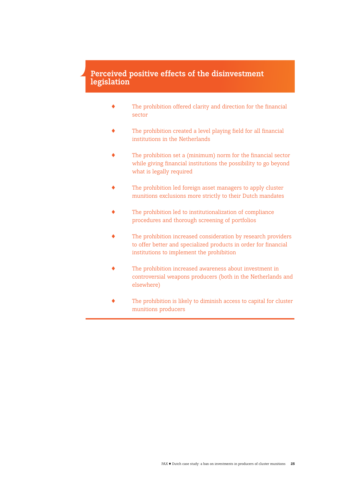#### **Perceived positive effects of the disinvestment legislation**

- ! The prohibition offered clarity and direction for the financial sector
- ! The prohibition created a level playing field for all financial institutions in the Netherlands
- ! The prohibition set a (minimum) norm for the financial sector while giving financial institutions the possibility to go beyond what is legally required
- ! The prohibition led foreign asset managers to apply cluster munitions exclusions more strictly to their Dutch mandates
- The prohibition led to institutionalization of compliance procedures and thorough screening of portfolios
- The prohibition increased consideration by research providers to offer better and specialized products in order for financial institutions to implement the prohibition
- The prohibition increased awareness about investment in controversial weapons producers (both in the Netherlands and elsewhere)
- The prohibition is likely to diminish access to capital for cluster munitions producers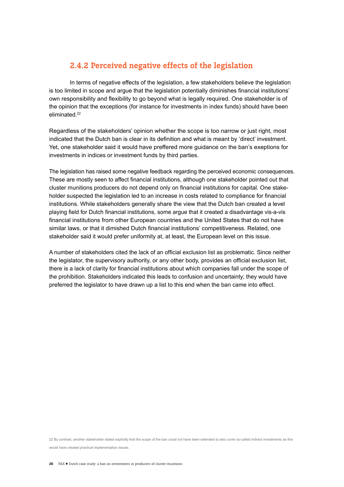#### **2.4.2 Perceived negative effects of the legislation**

In terms of negative effects of the legislation, a few stakeholders believe the legislation is too limited in scope and argue that the legislation potentially diminishes financial institutions' own responsibility and flexibility to go beyond what is legally required. One stakeholder is of the opinion that the exceptions (for instance for investments in index funds) should have been eliminated.<sup>22</sup>

Regardless of the stakeholders' opinion whether the scope is too narrow or just right, most indicated that the Dutch ban is clear in its definition and what is meant by 'direct' investment. Yet, one stakeholder said it would have preffered more guidance on the ban's exeptions for investments in indices or investment funds by third parties.

The legislation has raised some negative feedback regarding the perceived economic consequences. These are mostly seen to affect financial institutions, although one stakeholder pointed out that cluster munitions producers do not depend only on financial institutions for capital. One stakeholder suspected the legislation led to an increase in costs related to compliance for financial institutions. While stakeholders generally share the view that the Dutch ban created a level playing field for Dutch financial institutions, some argue that it created a disadvantage vis-a-vis financial institutions from other European countries and the United States that do not have similar laws, or that it dimished Dutch financial institutions' competitiveness. Related, one stakeholder said it would prefer uniformity at, at least, the European level on this issue.

A number of stakeholders cited the lack of an official exclusion list as problematic. Since neither the legislator, the supervisory authority, or any other body, provides an official exclusion list, there is a lack of clarity for financial institutions about which companies fall under the scope of the prohibition. Stakeholders indicated this leads to confusion and uncertainty; they would have preferred the legislator to have drawn up a list to this end when the ban came into effect.

22 By contrast, another stakeholder stated explicitly that the scope of the ban could not have been extended to also cover so-called indirect investments as this would have created practical implementation issues.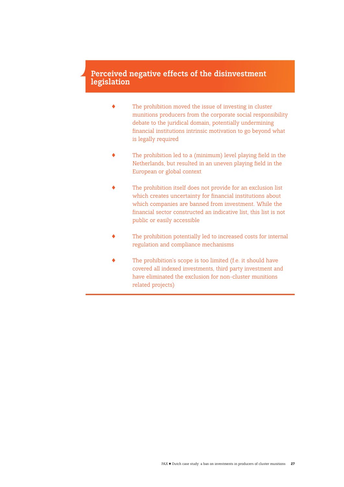#### **Perceived negative effects of the disinvestment legislation**

- $\blacklozenge$  The prohibition moved the issue of investing in cluster munitions producers from the corporate social responsibility debate to the juridical domain, potentially undermining financial institutions intrinsic motivation to go beyond what is legally required
- $\blacklozenge$  The prohibition led to a (minimum) level playing field in the Netherlands, but resulted in an uneven playing field in the European or global context
- ! The prohibition itself does not provide for an exclusion list which creates uncertainty for financial institutions about which companies are banned from investment. While the financial sector constructed an indicative list, this list is not public or easily accessible
- The prohibition potentially led to increased costs for internal regulation and compliance mechanisms
- The prohibition's scope is too limited (f.e. it should have covered all indexed investments, third party investment and have eliminated the exclusion for non-cluster munitions related projects)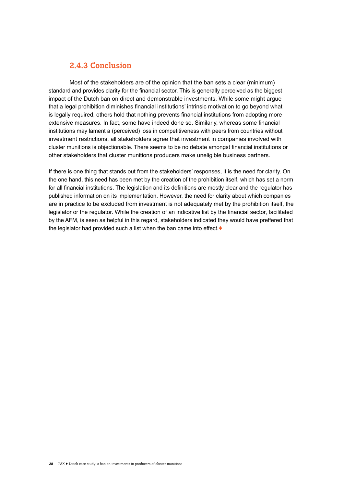#### **2.4.3 Conclusion**

Most of the stakeholders are of the opinion that the ban sets a clear (minimum) standard and provides clarity for the financial sector. This is generally perceived as the biggest impact of the Dutch ban on direct and demonstrable investments. While some might argue that a legal prohibition diminishes financial institutions' intrinsic motivation to go beyond what is legally required, others hold that nothing prevents financial institutions from adopting more extensive measures. In fact, some have indeed done so. Similarly, whereas some financial institutions may lament a (perceived) loss in competitiveness with peers from countries without investment restrictions, all stakeholders agree that investment in companies involved with cluster munitions is objectionable. There seems to be no debate amongst financial institutions or other stakeholders that cluster munitions producers make uneligible business partners.

If there is one thing that stands out from the stakeholders' responses, it is the need for clarity. On the one hand, this need has been met by the creation of the prohibition itself, which has set a norm for all financial institutions. The legislation and its definitions are mostly clear and the regulator has published information on its implementation. However, the need for clarity about which companies are in practice to be excluded from investment is not adequately met by the prohibition itself, the legislator or the regulator. While the creation of an indicative list by the financial sector, facilitated by the AFM, is seen as helpful in this regard, stakeholders indicated they would have preffered that the legislator had provided such a list when the ban came into effect  $\blacklozenge$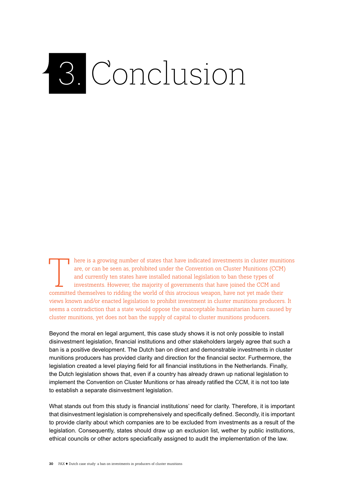## 3. Conclusion

T here is a growing number of states that have indicated investments in cluster munitions are, or can be seen as, prohibited under the Convention on Cluster Munitions (CCM) and currently ten states have installed national are, or can be seen as, prohibited under the Convention on Cluster Munitions (CCM) and currently ten states have installed national legislation to ban these types of investments. However, the majority of governments that have joined the CCM and views known and/or enacted legislation to prohibit investment in cluster munitions producers. It seems a contradiction that a state would oppose the unacceptable humanitarian harm caused by cluster munitions, yet does not ban the supply of capital to cluster munitions producers.

Beyond the moral en legal argument, this case study shows it is not only possible to install disinvestment legislation, financial institutions and other stakeholders largely agree that such a ban is a positive development. The Dutch ban on direct and demonstrable investments in cluster munitions producers has provided clarity and direction for the financial sector. Furthermore, the legislation created a level playing field for all financial institutions in the Netherlands. Finally, the Dutch legislation shows that, even if a country has already drawn up national legislation to implement the Convention on Cluster Munitions or has already ratified the CCM, it is not too late to establish a separate disinvestment legislation.

What stands out from this study is financial institutions' need for clarity. Therefore, it is important that disinvestment legislation is comprehensively and specifically defined. Secondly, it is important to provide clarity about which companies are to be excluded from investments as a result of the legislation. Consequently, states should draw up an exclusion list, wether by public institutions, ethical councils or other actors speciafically assigned to audit the implementation of the law.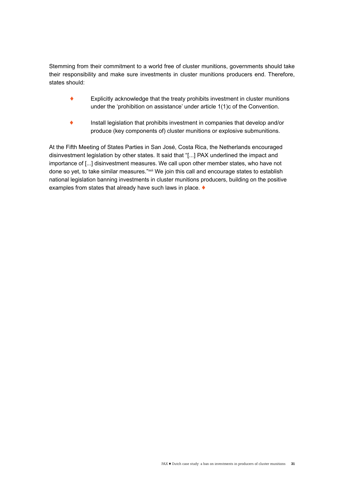Stemming from their commitment to a world free of cluster munitions, governments should take their responsibility and make sure investments in cluster munitions producers end. Therefore, states should:

- $\bullet$  Explicitly acknowledge that the treaty prohibits investment in cluster munitions under the 'prohibition on assistance' under article 1(1)c of the Convention.
- ! Install legislation that prohibits investment in companies that develop and/or produce (key components of) cluster munitions or explosive submunitions.

At the Fifth Meeting of States Parties in San José, Costa Rica, the Netherlands encouraged disinvestment legislation by other states. It said that "[...] PAX underlined the impact and importance of [...] disinvestment measures. We call upon other member states, who have not done so yet, to take similar measures."xxii We join this call and encourage states to establish national legislation banning investments in cluster munitions producers, building on the positive examples from states that already have such laws in place.  $\blacklozenge$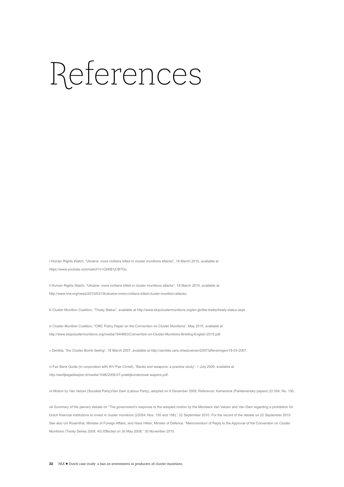### References

i Human Rights Watch, "Ukraine: more civilians killed in cluster munitions attacks", 18 March 2015, available at https://www.youtube.com/watch?v=ObKB1jCB7Oo.

ii Human Rights Watch, "Ukraine: more civilians killed in cluster munitions attacks", 18 March 2015, available at http://www.hrw.org/news/2015/03/19/ukraine-more-civilians-killed-cluster-munition-attacks.

iii Cluster Munition Coalition, "Treaty Status", available at http://www.stopclustermunitions.org/en-gb/the-treaty/treaty-status.aspx.

iv Cluster Munition Coalition, "CMC Policy Paper on the Convention on Cluster Munitions", May 2015, available at http://www.stopclustermunitions.org/media/1844663/Convention-on-Cluster-Munitions-Briefing-English-2015.pdf.

v Zembla, "the Cluster Bomb feeling", 18 March 2007, available at http://zembla.vara.nl/seizoenen/2007/afleveringen/18-03-2007.

vi Fair Bank Guide (in corporation with IKV Pax Christi), "Banks and weapons: a practice study", 1 July 2009, available at http://eerlijkegeldwijzer.nl/media/1046/2009-07-praktijkonderzoek-wapens.pdf.

vii Motion by Van Velzen (Socialist Party)/Van Dam (Labour Party), adopted on 8 December 2009, Reference: Kamerstuk (Parliamentary papers) 22 054, No. 150.

viii Summary of the plenary debate on "The government's response to the adopted motion by the Members Van Velzen and Van Dam regarding a prohibition for Dutch financial institutions to invest in cluster munitions (22054, Nos. 155 and 158)," 22 September 2010. For the record of the debate on 22 September 2010. See also Uri Rosenthal, Minister of Foreign Affairs, and Hans Hillen, Minster of Defence, "Memorandum of Reply to the Approval of the Convention on Cluster Munitions (Treaty Series 2009, 45) Effected on 30 May 2008," 30 November 2010.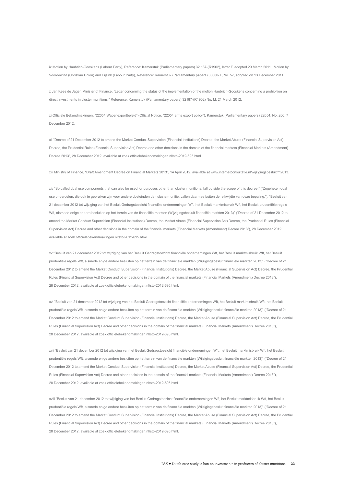ix Motion by Haubrich-Gooskens (Labour Party), Reference: Kamerstuk (Parliamentary papers) 32 187-(R1902), letter F, adopted 29 March 2011. Motion by Voordewind (Christian Union) and Eijsink (Labour Party), Reference: Kamerstuk (Parliamentary papers) 33000-X, No. 57, adopted on 13 December 2011.

x Jan Kees de Jager, Minister of Finance, "Letter concerning the status of the implementation of the motion Haubrich-Gooskens concerning a prohibition on direct investments in cluster munitions," Reference: Kamerstuk (Parliamentary papers) 32187-(R1902) No. M, 21 March 2012.

xi Officiële Bekendmakingen, "22054 Wapenexportbeleid" (Official Notice, "22054 arms export policy"), Kamerstuk (Parliamentary papers) 22054, No. 206, 7 December 2012.

xii "Decree of 21 December 2012 to amend the Market Conduct Supervision (Financial Institutions) Decree, the Market Abuse (Financial Supervision Act) Decree, the Prudential Rules (Financial Supervision Act) Decree and other decisions in the domain of the financial markets (Financial Markets (Amendment) Decree 2013", 28 December 2012, available at zoek.officielebekendmakingen.nl/stb-2012-695.html.

xiii Ministry of Finance, "Draft Amendment Decree on Financial Markets 2013", 14 April 2012, available at www.internetconsultatie.nl/wijzigingsbesluitfm2013.

xiv "So called dual use components that can also be used for purposes other than cluster munitions, fall outside the scope of this decree." ("Zogeheten dual use onderdelen, die ook te gebruiken zijn voor andere doeleinden dan clustermunitie, vallen daarmee buiten de reikwijdte van deze bepaling."). "Besluit van 21 december 2012 tot wijziging van het Besluit Gedragstoezicht financiële ondernemingen Wft, het Besluit marktmisbruik Wft, het Besluit prudentiële regels Wft, alsmede enige andere besluiten op het terrein van de financiële markten (Wijzigingsbesluit financiële markten 2013)" ("Decree of 21 December 2012 to amend the Market Conduct Supervision (Financial Institutions) Decree, the Market Abuse (Financial Supervision Act) Decree, the Prudential Rules (Financial Supervision Act) Decree and other decisions in the domain of the financial markets (Financial Markets (Amendment) Decree 2013"), 28 December 2012, available at zoek.officielebekendmakingen.nl/stb-2012-695.html.

xv "Besluit van 21 december 2012 tot wijziging van het Besluit Gedragstoezicht financiële ondernemingen Wft, het Besluit marktmisbruik Wft, het Besluit prudentiële regels Wft, alsmede enige andere besluiten op het terrein van de financiële markten (Wijzigingsbesluit financiële markten 2013)" ("Decree of 21 December 2012 to amend the Market Conduct Supervision (Financial Institutions) Decree, the Market Abuse (Financial Supervision Act) Decree, the Prudential Rules (Financial Supervision Act) Decree and other decisions in the domain of the financial markets (Financial Markets (Amendment) Decree 2013"), 28 December 2012, available at zoek.officielebekendmakingen.nl/stb-2012-695.html.

xvi "Besluit van 21 december 2012 tot wijziging van het Besluit Gedragstoezicht financiële ondernemingen Wft, het Besluit marktmisbruik Wft, het Besluit prudentiële regels Wft, alsmede enige andere besluiten op het terrein van de financiële markten (Wijzigingsbesluit financiële markten 2013)" ("Decree of 21 December 2012 to amend the Market Conduct Supervision (Financial Institutions) Decree, the Market Abuse (Financial Supervision Act) Decree, the Prudential Rules (Financial Supervision Act) Decree and other decisions in the domain of the financial markets (Financial Markets (Amendment) Decree 2013"), 28 December 2012, available at zoek.officielebekendmakingen.nl/stb-2012-695.html.

xvii "Besluit van 21 december 2012 tot wijziging van het Besluit Gedragstoezicht financiële ondernemingen Wft, het Besluit marktmisbruik Wft, het Besluit prudentiële regels Wft, alsmede enige andere besluiten op het terrein van de financiële markten (Wijzigingsbesluit financiële markten 2013)" ("Decree of 21 December 2012 to amend the Market Conduct Supervision (Financial Institutions) Decree, the Market Abuse (Financial Supervision Act) Decree, the Prudential Rules (Financial Supervision Act) Decree and other decisions in the domain of the financial markets (Financial Markets (Amendment) Decree 2013"), 28 December 2012, available at zoek.officielebekendmakingen.nl/stb-2012-695.html.

xviii "Besluit van 21 december 2012 tot wijziging van het Besluit Gedragstoezicht financiële ondernemingen Wft, het Besluit marktmisbruik Wft, het Besluit prudentiële regels Wft, alsmede enige andere besluiten op het terrein van de financiële markten (Wijzigingsbesluit financiële markten 2013)" ("Decree of 21 December 2012 to amend the Market Conduct Supervision (Financial Institutions) Decree, the Market Abuse (Financial Supervision Act) Decree, the Prudential Rules (Financial Supervision Act) Decree and other decisions in the domain of the financial markets (Financial Markets (Amendment) Decree 2013"), 28 December 2012, available at zoek.officielebekendmakingen.nl/stb-2012-695.html.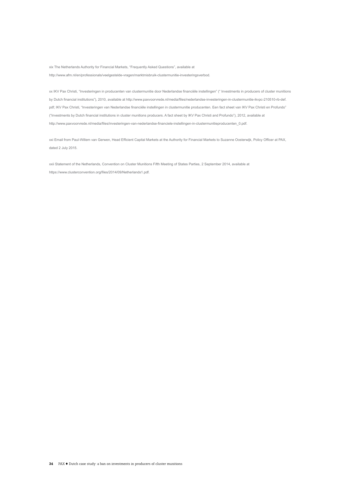xix The Netherlands Authority for Financial Markets, "Frequently Asked Questions", available at http://www.afm.nl/en/professionals/veelgestelde-vragen/marktmisbruik-clustermunitie-investeringsverbod.

xx IKV Pax Christi, "Investeringen in producenten van clustermunitie door Nederlandse financiële instellingen" (" Investments in producers of cluster munitions by Dutch financial institutions"), 2010, available at http://www.paxvoorvrede.nl/media/files/nederlandse-investeringen-in-clustermunitie-ikvpc-210510-rb-def. pdf; IKV Pax Christi, "Investeringen van Nederlandse financiële instellingen in clustermunitie producenten. Een fact sheet van IKV Pax Christi en Profundo" ("Investments by Dutch financial institutions in cluster munitions producers. A fact sheet by IKV Pax Christi and Profundo"), 2012, available at http://www.paxvoorvrede.nl/media/files/investeringen-van-nederlandse-financiele-instellingen-in-clustermunitieproducenten\_0.pdf.

xxi Email from Paul-Willem van Gerwen, Head Efficient Capital Markets at the Authority for Financial Markets to Suzanne Oosterwijk, Policy Officer at PAX, dated 2 July 2015.

xxii Statement of the Netherlands, Convention on Cluster Munitions Fifth Meeting of States Parties, 2 September 2014, available at https://www.clusterconvention.org/files/2014/09/Netherlands1.pdf.